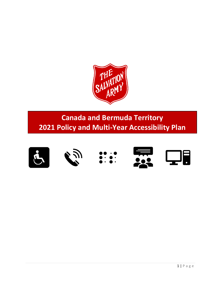

# **Canada and Bermuda Territory 2021 Policy and Multi-Year Accessibility Plan**









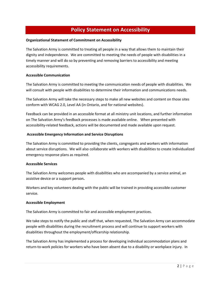## **Policy Statement on Accessibility**

#### **Organizational Statement of Commitment on Accessibility**

The Salvation Army is committed to treating all people in a way that allows them to maintain their dignity and independence. We are committed to meeting the needs of people with disabilities in a timely manner and will do so by preventing and removing barriers to accessibility and meeting accessibility requirements.

#### **Accessible Communication**

The Salvation Army is committed to meeting the communication needs of people with disabilities. We will consult with people with disabilities to determine their information and communications needs.

The Salvation Army will take the necessary steps to make all new websites and content on those sites conform with WCAG 2.0, Level AA (in Ontario, and for national websites).

Feedback can be provided in an accessible format at all ministry unit locations, and further information on The Salvation Army's feedback processes is made available online. When presented with accessibility-related feedback, actions will be documented and made available upon request.

#### **Accessible Emergency Information and Service Disruptions**

The Salvation Army is committed to providing the clients, congregants and workers with information about service disruptions. We will also collaborate with workers with disabilities to create individualized emergency response plans as required.

#### **Accessible Services**

The Salvation Army welcomes people with disabilities who are accompanied by a service animal, an assistive device or a support person**.**

Workers and key volunteers dealing with the public will be trained in providing accessible customer service.

#### **Accessible Employment**

The Salvation Army is committed to fair and accessible employment practices.

We take steps to notify the public and staff that, when requested, The Salvation Army can accommodate people with disabilities during the recruitment process and will continue to support workers with disabilities throughout the employment/officership relationship.

The Salvation Army has implemented a process for developing individual accommodation plans and return-to-work policies for workers who have been absent due to a disability or workplace injury. In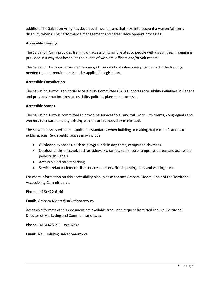addition, The Salvation Army has developed mechanisms that take into account a worker/officer's disability when using performance management and career development processes.

#### **Accessible Training**

The Salvation Army provides training on accessibility as it relates to people with disabilities. Training is provided in a way that best suits the duties of workers, officers and/or volunteers.

The Salvation Army will ensure all workers, officers and volunteers are provided with the training needed to meet requirements under applicable legislation.

#### **Accessible Consultation**

The Salvation Army's Territorial Accessibility Committee (TAC) supports accessibility initiatives in Canada and provides input into key accessibility policies, plans and processes.

#### **Accessible Spaces**

The Salvation Army is committed to providing services to all and will work with clients, congregants and workers to ensure that any existing barriers are removed or minimized.

The Salvation Army will meet applicable standards when building or making major modifications to public spaces. Such public spaces may include:

- Outdoor play spaces, such as playgrounds in day cares, camps and churches
- Outdoor paths of travel, such as sidewalks, ramps, stairs, curb ramps, rest areas and accessible pedestrian signals
- Accessible off-street parking
- Service-related elements like service counters, fixed queuing lines and waiting areas

For more information on this accessibility plan, please contact Graham Moore, Chair of the Territorial Accessibility Committee at:

**Phone:** (416) 422-6146

**Email:** [Graham.Moore@salvationarmy.ca](mailto:Graham.Moore@salvationarmy.ca)

Accessible formats of this document are available free upon request from Neil Leduke, Territorial Director of Marketing and Communications, at:

**Phone**: (416) 425-2111 ext. 6232

**Email:** Neil.Leduke@salvationarmy.ca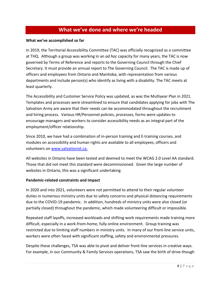### **What we've done and where we're headed**

#### **What we've accomplished so far**

In 2019, the Territorial Accessibility Committee (TAC) was officially recognized as a committee at THQ. Although a group was working in an *ad hoc* capacity for many years, the TAC is now governed by Terms of Reference and reports to the Governing Council through the Chief Secretary. It must provide an annual report to The Governing Council. The TAC is made up of officers and employees from Ontario and Manitoba, with representation from various departments and include person(s) who identify as living with a disability. The TAC meets at least quarterly.

The Accessibility and Customer Service Policy was updated, as was the Multiyear Plan in 2021. Templates and processes were streamlined to ensure that candidates applying for jobs with The Salvation Army are aware that their needs can be accommodated throughout the recruitment and hiring process. Various HR/Personnel policies, processes, forms were updates to encourage managers and workers to consider accessibility needs as an integral part of the employment/officer relationship.

Since 2010, we have had a combination of in-person training and E-training courses, and modules on accessibility and human rights are available to all employees, officers and volunteers on [www.salvationist.ca.](http://www.salvationist.ca/)

All websites in Ontario have been tested and deemed to meet the WCAG 2.0 Level AA standard. Those that did not meet this standard were decommissioned. Given the large number of websites in Ontario, this was a significant undertaking

#### **Pandemic-related constraints and impact**

In 2020 and into 2021, volunteers were not permitted to attend to their regular volunteer duties in numerous ministry units due to safety concerns and physical distancing requirements due to the COVID-19 pandemic. In addition, hundreds of ministry units were also closed (or partially closed) throughout the pandemic, which made volunteering difficult or impossible.

Repeated staff layoffs, increased workloads and shifting work requirements made training more difficult, especially in a work-from-home, fully online environment. Group training was restricted due to limiting staff numbers in ministry units. In many of our front-line service units, workers were often faced with significant staffing, safety and environmental pressures.

Despite these challenges, TSA was able to pivot and deliver front-line services in creative ways. For example, in our Community & Family Services operations, TSA saw the birth of drive-though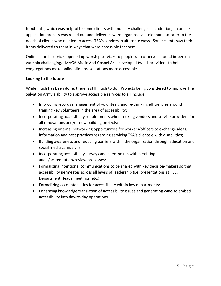foodbanks, which was helpful to some clients with mobility challenges. In addition, an online application process was rolled out and deliveries were organized via telephone to cater to the needs of clients who needed to access TSA's services in alternate ways. Some clients saw their items delivered to them in ways that were accessible for them.

Online church services opened up worship services to people who otherwise found in-person worship challenging. MAGA Music And Gospel Arts developed two short videos to help congregations make online slide presentations more accessible.

#### **Looking to the future**

While much has been done, there is still much to do! Projects being considered to improve The Salvation Army's ability to approve accessible services to all include:

- Improving records management of volunteers and re-thinking efficiencies around training key volunteers in the area of accessibility;
- Incorporating accessibility requirements when seeking vendors and service providers for all renovations and/or new building projects;
- Increasing internal networking opportunities for workers/officers to exchange ideas, information and best practices regarding servicing TSA's clientele with disabilities;
- Building awareness and reducing barriers within the organization through education and social media campaigns;
- Incorporating accessibility surveys and checkpoints within existing audit/accreditation/review processes;
- Formalizing intentional communications to be shared with key decision-makers so that accessibility permeates across all levels of leadership (i.e. presentations at TEC, Department Heads meetings, etc.);
- Formalizing accountabilities for accessibility within key departments;
- Enhancing knowledge translation of accessibility issues and generating ways to embed accessibility into day-to-day operations.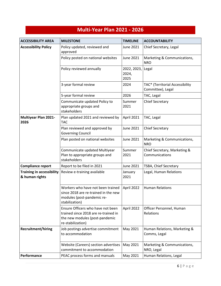## **Multi-Year Plan 2021 - 2026**

| <b>ACCESSIBILITY AREA</b>                          | <b>MILESTONE</b>                                                                                                                 | <b>TIMELINE</b>              | <b>ACCOUNTABILITY</b>                                |
|----------------------------------------------------|----------------------------------------------------------------------------------------------------------------------------------|------------------------------|------------------------------------------------------|
| <b>Accessibility Policy</b>                        | Policy updated, reviewed and<br>approved                                                                                         | June 2021                    | Chief Secretary, Legal                               |
|                                                    | Policy posted on national websites                                                                                               | June 2021                    | Marketing & Communications,<br><b>NRO</b>            |
|                                                    | Policy reviewed annually                                                                                                         | 2022, 2023,<br>2024,<br>2025 | Legal                                                |
|                                                    | 3-year formal review                                                                                                             | 2024                         | TAC* (Territorial Accessibility<br>Committee), Legal |
|                                                    | 5-year formal review                                                                                                             | 2026                         | TAC, Legal                                           |
|                                                    | Communicate updated Policy to<br>appropriate groups and<br>stakeholders                                                          | Summer<br>2021               | <b>Chief Secretary</b>                               |
| <b>Multiyear Plan 2021-</b><br>2026                | Plan updated 2021 and reviewed by<br><b>TAC</b>                                                                                  | April 2021                   | TAC, Legal                                           |
|                                                    | Plan reviewed and approved by<br><b>Governing Council</b>                                                                        | June 2021                    | Chief Secretary                                      |
|                                                    | Plan posted on national websites                                                                                                 | June 2021                    | Marketing & Communications,<br><b>NRO</b>            |
|                                                    | Communicate updated Multiyear<br>Plan to appropriate groups and<br>stakeholders                                                  | Summer<br>2021               | Chief Secretary, Marketing &<br>Communications       |
| <b>Compliance report</b>                           | Report to be filed in 2021                                                                                                       | June 2021                    | TSBA, Chief Secretary                                |
| <b>Training in accessibility</b><br>& human rights | Review e-training available                                                                                                      | January<br>2021              | Legal, Human Relations                               |
|                                                    | Workers who have not been trained<br>since 2018 are re-trained in the new<br>modules (post-pandemic re-<br>stabilization)        | April 2022                   | <b>Human Relations</b>                               |
|                                                    | Ensure Officers who have not been<br>trained since 2018 are re-trained in<br>the new modules (post-pandemic<br>re-stabilization) | April 2022                   | Officer Personnel, Human<br>Relations                |
| <b>Recruitment/hiring</b>                          | Job postings advertise commitment<br>to accommodation                                                                            | May 2021                     | Human Relations, Marketing &<br>Comms, Legal         |
|                                                    | Website (Careers) section advertises<br>commitment to accommodation                                                              | May 2021                     | Marketing & Communications,<br>NRO, Legal            |
| Performance                                        | PEAC process forms and manuals                                                                                                   | May 2021                     | Human Relations, Legal                               |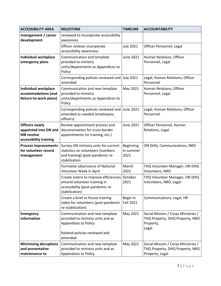| <b>ACCESSIBILITY AREA</b>                                                                     | <b>MILESTONE</b>                                                                                                                    | <b>TIMELINE</b>                       | <b>ACCOUNTABILITY</b>                                                                        |
|-----------------------------------------------------------------------------------------------|-------------------------------------------------------------------------------------------------------------------------------------|---------------------------------------|----------------------------------------------------------------------------------------------|
| management / career<br>development                                                            | reviewed to incorporate accessibility<br>awareness                                                                                  |                                       |                                                                                              |
|                                                                                               | Officer reviews incorporate<br>accessibility awareness                                                                              | <b>July 2021</b>                      | Officer Personnel, Legal                                                                     |
| <b>Individual workplace</b><br>emergency plans                                                | Communication and template<br>provided to ministry<br>units/departments as Appendices to<br>Policy                                  | June 2021                             | Human Relations, Officer<br>Personnel, Legal                                                 |
|                                                                                               | Corresponding policies reviewed and July 2021<br>amended                                                                            |                                       | Legal, Human Relations, Officer<br>Personnel                                                 |
| <b>Individual workplace</b><br>accommodations (and<br>Return-to-work plans)                   | Communication and new template<br>provided to ministry<br>units/departments as Appendices to<br>Policy                              | May 2021                              | Human Relations, Officer<br>Personnel, Legal                                                 |
|                                                                                               | Corresponding policies reviewed and<br>amended as needed (employees,<br>officers)                                                   | June 2021                             | Legal, Human Relations, Officer<br>Personnel                                                 |
| <b>Officers newly</b><br>appointed into ON and<br><b>MB</b> receive<br>accessibility training | Review appointment process and<br>documentation for cross-border<br>appointments (re training, etc.)                                | <b>June 2021</b>                      | Officer Personnel, Human<br>Relations, Legal                                                 |
| <b>Process improvements</b><br>for volunteer record<br>management                             | Survey ON ministry units for current<br>statistics on volunteers (numbers<br>and training) (post-pandemic re-<br>stabilization      | <b>Beginning</b><br>in summer<br>2021 | ON DHQ, Communications, NRO                                                                  |
|                                                                                               | Formalize observance of National<br>Volunteer Week in April                                                                         | March<br>2022                         | THQ Volunteer Manager, ON DHQ<br>Volunteers, NRO                                             |
|                                                                                               | Create matrix to improve efficiencies<br>around volunteer training in<br>accessibility (post-pandemic re-<br>stabilization)         | October<br>2021                       | THQ Volunteer Manager, ON DHQ<br>Volunteers, NRO, Legal                                      |
|                                                                                               | Create a brief in-house training<br>video for volunteers (post-pandemic<br>re-stabilization)                                        | Begin in<br><b>Fall 2021</b>          | Communications, Legal, HR                                                                    |
| <b>Emergency</b><br>information                                                               | Communication and new template<br>provided to ministry units and as<br><b>Appendices to Policy</b><br>Related policies reviewed and | May 2021                              | Social Mission / Corps Ministries /<br>THQ Property, DHQ Property, NRO<br>Property,<br>Legal |
|                                                                                               | amended                                                                                                                             |                                       |                                                                                              |
| <b>Minimizing disruptions</b><br>and preventative<br>maintenance to                           | Communication and new template<br>provided to ministry units and as<br><b>Appendices to Policy</b>                                  | May 2021                              | Social Mission / Corps Ministries /<br>THQ Property, DHQ Property, NRO<br>Property, Legal    |